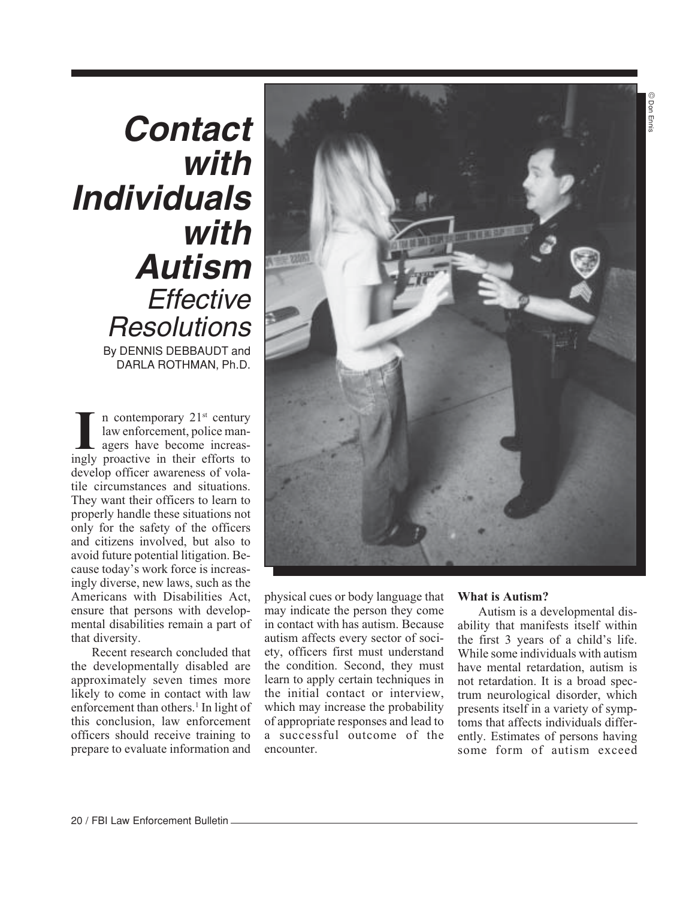## © Don Ennis © Don Ennis

# **Contact with Individuals with Autism Effective Resolutions** By DENNIS DEBBAUDT and DARLA ROTHMAN, Ph.D.

I **n** contemporary 21<sup>st</sup> century<br>law enforcement, police man-<br>agers have become increas-<br>ngly proactive in their efforts to law enforcement, police managers have become increasingly proactive in their efforts to develop officer awareness of volatile circumstances and situations. They want their officers to learn to properly handle these situations not only for the safety of the officers and citizens involved, but also to avoid future potential litigation. Because today's work force is increasingly diverse, new laws, such as the Americans with Disabilities Act, ensure that persons with developmental disabilities remain a part of that diversity.

Recent research concluded that the developmentally disabled are approximately seven times more likely to come in contact with law enforcement than others.<sup>1</sup> In light of this conclusion, law enforcement officers should receive training to prepare to evaluate information and



physical cues or body language that may indicate the person they come in contact with has autism. Because autism affects every sector of society, officers first must understand the condition. Second, they must learn to apply certain techniques in the initial contact or interview, which may increase the probability of appropriate responses and lead to a successful outcome of the encounter.

#### **What is Autism?**

Autism is a developmental disability that manifests itself within the first 3 years of a child's life. While some individuals with autism have mental retardation, autism is not retardation. It is a broad spectrum neurological disorder, which presents itself in a variety of symptoms that affects individuals differently. Estimates of persons having some form of autism exceed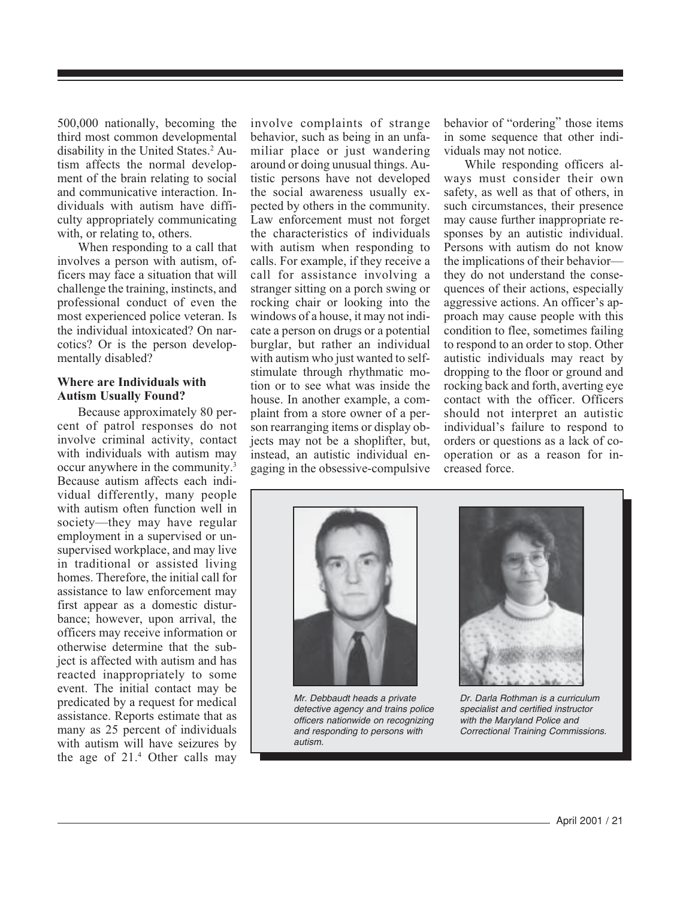500,000 nationally, becoming the third most common developmental disability in the United States.<sup>2</sup> Autism affects the normal development of the brain relating to social and communicative interaction. Individuals with autism have difficulty appropriately communicating with, or relating to, others.

When responding to a call that involves a person with autism, officers may face a situation that will challenge the training, instincts, and professional conduct of even the most experienced police veteran. Is the individual intoxicated? On narcotics? Or is the person developmentally disabled?

#### **Where are Individuals with Autism Usually Found?**

Because approximately 80 percent of patrol responses do not involve criminal activity, contact with individuals with autism may occur anywhere in the community.3 Because autism affects each individual differently, many people with autism often function well in society—they may have regular employment in a supervised or unsupervised workplace, and may live in traditional or assisted living homes. Therefore, the initial call for assistance to law enforcement may first appear as a domestic disturbance; however, upon arrival, the officers may receive information or otherwise determine that the subject is affected with autism and has reacted inappropriately to some event. The initial contact may be predicated by a request for medical assistance. Reports estimate that as many as 25 percent of individuals with autism will have seizures by the age of 21.4 Other calls may involve complaints of strange behavior, such as being in an unfamiliar place or just wandering around or doing unusual things. Autistic persons have not developed the social awareness usually expected by others in the community. Law enforcement must not forget the characteristics of individuals with autism when responding to calls. For example, if they receive a call for assistance involving a stranger sitting on a porch swing or rocking chair or looking into the windows of a house, it may not indicate a person on drugs or a potential burglar, but rather an individual with autism who just wanted to selfstimulate through rhythmatic motion or to see what was inside the house. In another example, a complaint from a store owner of a person rearranging items or display objects may not be a shoplifter, but, instead, an autistic individual engaging in the obsessive-compulsive

behavior of "ordering" those items in some sequence that other individuals may not notice.

While responding officers always must consider their own safety, as well as that of others, in such circumstances, their presence may cause further inappropriate responses by an autistic individual. Persons with autism do not know the implications of their behavior they do not understand the consequences of their actions, especially aggressive actions. An officer's approach may cause people with this condition to flee, sometimes failing to respond to an order to stop. Other autistic individuals may react by dropping to the floor or ground and rocking back and forth, averting eye contact with the officer. Officers should not interpret an autistic individual's failure to respond to orders or questions as a lack of cooperation or as a reason for increased force.

![](_page_1_Picture_7.jpeg)

Mr. Debbaudt heads a private detective agency and trains police officers nationwide on recognizing and responding to persons with autism.

![](_page_1_Picture_9.jpeg)

Dr. Darla Rothman is a curriculum specialist and certified instructor with the Maryland Police and Correctional Training Commissions.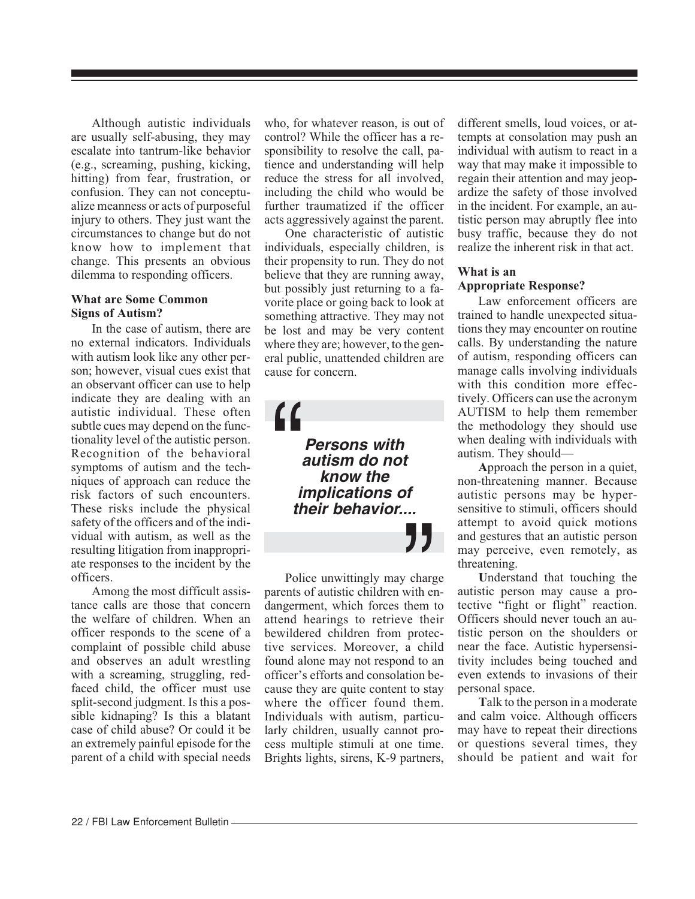Although autistic individuals are usually self-abusing, they may escalate into tantrum-like behavior (e.g., screaming, pushing, kicking, hitting) from fear, frustration, or confusion. They can not conceptualize meanness or acts of purposeful injury to others. They just want the circumstances to change but do not know how to implement that change. This presents an obvious dilemma to responding officers.

#### **What are Some Common Signs of Autism?**

In the case of autism, there are no external indicators. Individuals with autism look like any other person; however, visual cues exist that an observant officer can use to help indicate they are dealing with an autistic individual. These often subtle cues may depend on the functionality level of the autistic person. Recognition of the behavioral symptoms of autism and the techniques of approach can reduce the risk factors of such encounters. These risks include the physical safety of the officers and of the individual with autism, as well as the resulting litigation from inappropriate responses to the incident by the officers.

Among the most difficult assistance calls are those that concern the welfare of children. When an officer responds to the scene of a complaint of possible child abuse and observes an adult wrestling with a screaming, struggling, redfaced child, the officer must use split-second judgment. Is this a possible kidnaping? Is this a blatant case of child abuse? Or could it be an extremely painful episode for the parent of a child with special needs who, for whatever reason, is out of control? While the officer has a responsibility to resolve the call, patience and understanding will help reduce the stress for all involved, including the child who would be further traumatized if the officer acts aggressively against the parent.

One characteristic of autistic individuals, especially children, is their propensity to run. They do not believe that they are running away, but possibly just returning to a favorite place or going back to look at something attractive. They may not be lost and may be very content where they are; however, to the general public, unattended children are cause for concern.

**Persons with**  "<br>"<br>" **autism do not know the implications of their behavior....**

Police unwittingly may charge dangerment, which forces them to parents of autistic children with en-  $\sum_{\text{charge}}$ <br>with en<br>them 1<br>re the attend hearings to retrieve their bewildered children from protective services. Moreover, a child found alone may not respond to an officer's efforts and consolation because they are quite content to stay where the officer found them. Individuals with autism, particularly children, usually cannot process multiple stimuli at one time. Brights lights, sirens, K-9 partners,

different smells, loud voices, or attempts at consolation may push an individual with autism to react in a way that may make it impossible to regain their attention and may jeopardize the safety of those involved in the incident. For example, an autistic person may abruptly flee into busy traffic, because they do not realize the inherent risk in that act.

#### **What is an Appropriate Response?**

Law enforcement officers are trained to handle unexpected situations they may encounter on routine calls. By understanding the nature of autism, responding officers can manage calls involving individuals with this condition more effectively. Officers can use the acronym AUTISM to help them remember the methodology they should use when dealing with individuals with autism. They should—

**A**pproach the person in a quiet, non-threatening manner. Because autistic persons may be hypersensitive to stimuli, officers should attempt to avoid quick motions and gestures that an autistic person may perceive, even remotely, as threatening.

**U**nderstand that touching the autistic person may cause a protective "fight or flight" reaction. Officers should never touch an autistic person on the shoulders or near the face. Autistic hypersensitivity includes being touched and even extends to invasions of their personal space.

**T**alk to the person in a moderate and calm voice. Although officers may have to repeat their directions or questions several times, they should be patient and wait for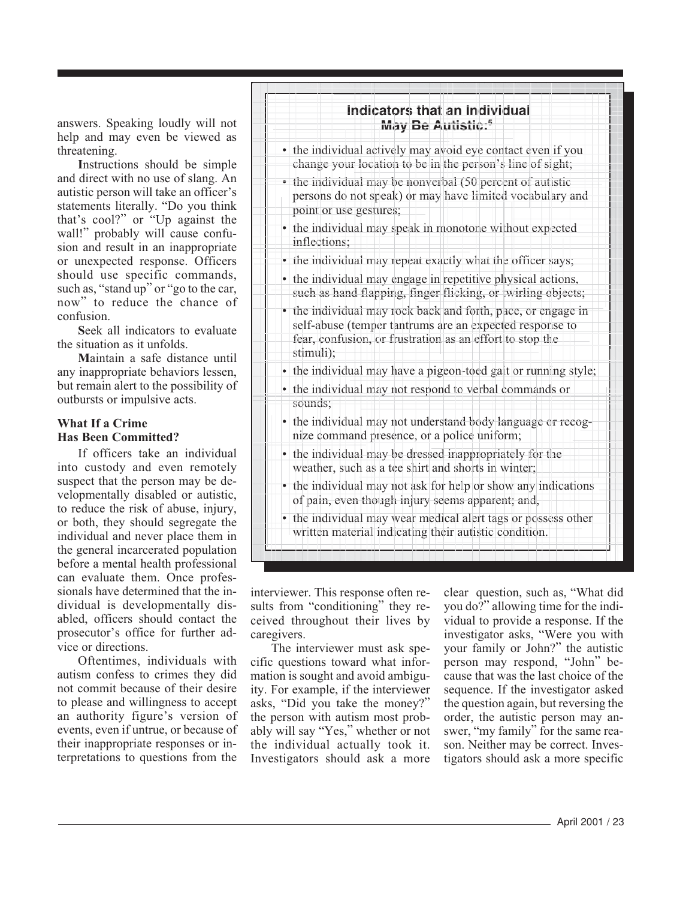answers. Speaking loudly will not help and may even be viewed as threatening.

**I**nstructions should be simple and direct with no use of slang. An autistic person will take an officer's statements literally. "Do you think that's cool?" or "Up against the wall!" probably will cause confusion and result in an inappropriate or unexpected response. Officers should use specific commands, such as, "stand up" or "go to the car, now" to reduce the chance of confusion.

**S**eek all indicators to evaluate the situation as it unfolds.

**M**aintain a safe distance until any inappropriate behaviors lessen, but remain alert to the possibility of outbursts or impulsive acts.

### **What If a Crime Has Been Committed?**

If officers take an individual into custody and even remotely suspect that the person may be developmentally disabled or autistic, to reduce the risk of abuse, injury, or both, they should segregate the individual and never place them in the general incarcerated population before a mental health professional can evaluate them. Once professionals have determined that the individual is developmentally disabled, officers should contact the prosecutor's office for further advice or directions.

Oftentimes, individuals with autism confess to crimes they did not commit because of their desire to please and willingness to accept an authority figure's version of events, even if untrue, or because of their inappropriate responses or interpretations to questions from the

![](_page_3_Figure_7.jpeg)

interviewer. This response often results from "conditioning" they received throughout their lives by caregivers.

The interviewer must ask specific questions toward what information is sought and avoid ambiguity. For example, if the interviewer asks, "Did you take the money?" the person with autism most probably will say "Yes," whether or not the individual actually took it. Investigators should ask a more

clear question, such as, "What did you do?" allowing time for the individual to provide a response. If the investigator asks, "Were you with your family or John?" the autistic person may respond, "John" because that was the last choice of the sequence. If the investigator asked the question again, but reversing the order, the autistic person may answer, "my family" for the same reason. Neither may be correct. Investigators should ask a more specific